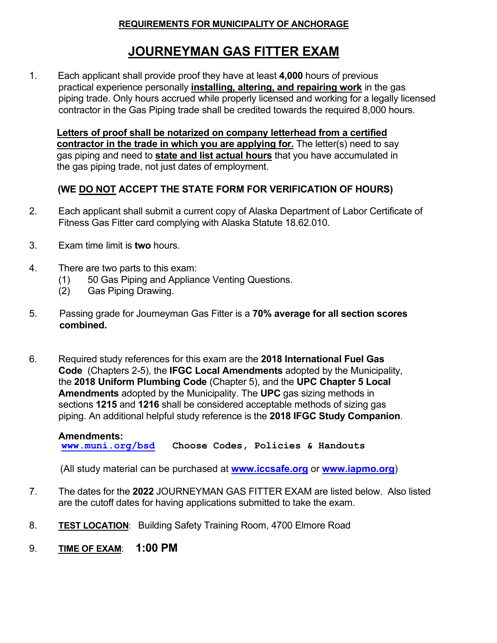#### **REQUIREMENTS FOR MUNICIPALITY OF ANCHORAGE**

# **JOURNEYMAN GAS FITTER EXAM**

1. Each applicant shall provide proof they have at least **4,000** hours of previous practical experience personally **installing, altering, and repairing work** in the gas piping trade. Only hours accrued while properly licensed and working for a legally licensed contractor in the Gas Piping trade shall be credited towards the required 8,000 hours.

 **Letters of proof shall be notarized on company letterhead from a certified contractor in the trade in which you are applying for.** The letter(s) need to say gas piping and need to **state and list actual hours** that you have accumulated in the gas piping trade, not just dates of employment.

### **(WE DO NOT ACCEPT THE STATE FORM FOR VERIFICATION OF HOURS)**

- 2. Each applicant shall submit a current copy of Alaska Department of Labor Certificate of Fitness Gas Fitter card complying with Alaska Statute 18.62.010.
- 3. Exam time limit is **two** hours.
- 4. There are two parts to this exam:
	- (1) 50 Gas Piping and Appliance Venting Questions.
	- (2) Gas Piping Drawing.
- 5.Passing grade for Journeyman Gas Fitter is a **70% average for all section scores combined.**
- 6. Required study references for this exam are the **2018 International Fuel Gas Code** (Chapters 2-5), the **IFGC Local Amendments** adopted by the Municipality, the **2018 Uniform Plumbing Code** (Chapter 5), and the **UPC Chapter 5 Local Amendments** adopted by the Municipality. The **UPC** gas sizing methods in sections **1215** and **1216** shall be considered acceptable methods of sizing gas piping. An additional helpful study reference is the **<sup>2018</sup> IFGC Study Companion**.

 **Amendments: [www.muni.org/bsd](http://www.muni.org/bsd) Choose Codes, Policies & Handouts**

(All study material can be purchased at **[www.iccsafe.org](http://www.iccsafe.org/)** or **[www.iapmo.org](http://www.iapmo.org/)**)

- 7. The dates for the **2022** JOURNEYMAN GAS FITTER EXAM are listed below. Also listed are the cutoff dates for having applications submitted to take the exam.
- 8. **TEST LOCATION**: Building Safety Training Room, 4700 Elmore Road
- 9. **TIME OF EXAM**: **1:00 PM**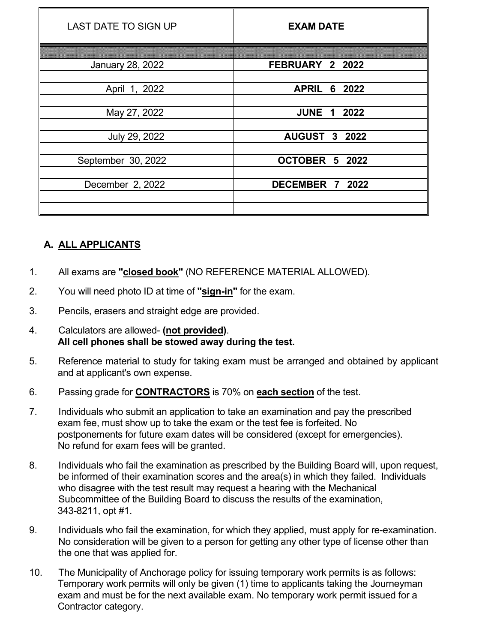| <b>LAST DATE TO SIGN UP</b> | <b>EXAM DATE</b>       |
|-----------------------------|------------------------|
|                             |                        |
| <b>January 28, 2022</b>     | FEBRUARY 2 2022        |
|                             |                        |
| April 1, 2022               | <b>APRIL</b><br>6 2022 |
|                             |                        |
| May 27, 2022                | <b>JUNE 1 2022</b>     |
|                             |                        |
| July 29, 2022               | <b>AUGUST 3 2022</b>   |
| September 30, 2022          | OCTOBER 5 2022         |
|                             |                        |
| December 2, 2022            | DECEMBER 7 2022        |
|                             |                        |
|                             |                        |

## **A. ALL APPLICANTS**

- 1. All exams are **"closed book"** (NO REFERENCE MATERIAL ALLOWED).
- 2. You will need photo ID at time of **"sign-in"** for the exam.
- 3. Pencils, erasers and straight edge are provided.
- 4. Calculators are allowed- **(not provided)**. **All cell phones shall be stowed away during the test.**
- 5. Reference material to study for taking exam must be arranged and obtained by applicant and at applicant's own expense.
- 6. Passing grade for **CONTRACTORS** is 70% on **each section** of the test.
- 7. Individuals who submit an application to take an examination and pay the prescribed exam fee, must show up to take the exam or the test fee is forfeited. No postponements for future exam dates will be considered (except for emergencies). No refund for exam fees will be granted.
- 8. Individuals who fail the examination as prescribed by the Building Board will, upon request, be informed of their examination scores and the area(s) in which they failed. Individuals who disagree with the test result may request a hearing with the Mechanical Subcommittee of the Building Board to discuss the results of the examination, 343-8211, opt #1.
- 9. Individuals who fail the examination, for which they applied, must apply for re-examination. No consideration will be given to a person for getting any other type of license other than the one that was applied for.
- 10. The Municipality of Anchorage policy for issuing temporary work permits is as follows: Temporary work permits will only be given (1) time to applicants taking the Journeyman exam and must be for the next available exam. No temporary work permit issued for a Contractor category.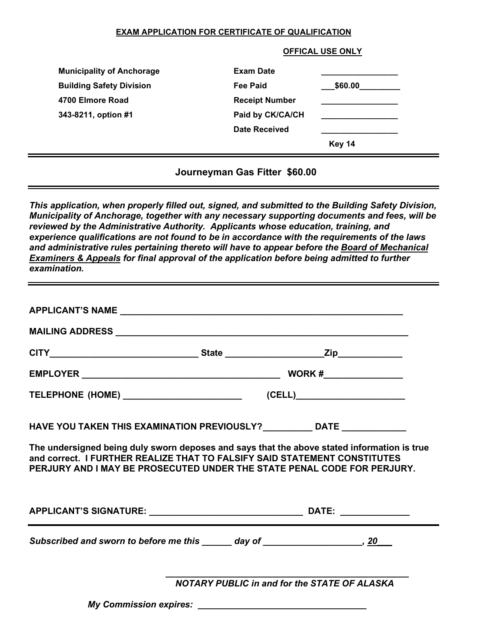#### **EXAM APPLICATION FOR CERTIFICATE OF QUALIFICATION**

| <b>Municipality of Anchorage</b> | <b>Exam Date</b>      |                   |
|----------------------------------|-----------------------|-------------------|
| <b>Building Safety Division</b>  | <b>Fee Paid</b>       | $\_$ \$60.00 $\_$ |
| 4700 Elmore Road                 | <b>Receipt Number</b> |                   |
| 343-8211, option #1              | Paid by CK/CA/CH      |                   |
|                                  | Date Received         |                   |
|                                  |                       | <b>Key 14</b>     |

**Journeyman Gas Fitter \$60.00**

*This application, when properly filled out, signed, and submitted to the Building Safety Division, Municipality of Anchorage, together with any necessary supporting documents and fees, will be reviewed by the Administrative Authority. Applicants whose education, training, and experience qualifications are not found to be in accordance with the requirements of the laws and administrative rules pertaining thereto will have to appear before the Board of Mechanical Examiners & Appeals for final approval of the application before being admitted to further examination.*

| HAVE YOU TAKEN THIS EXAMINATION PREVIOUSLY? DATE _______________                                                                                                                                                                                    |  |                                                     |  |  |
|-----------------------------------------------------------------------------------------------------------------------------------------------------------------------------------------------------------------------------------------------------|--|-----------------------------------------------------|--|--|
| The undersigned being duly sworn deposes and says that the above stated information is true<br>and correct. I FURTHER REALIZE THAT TO FALSIFY SAID STATEMENT CONSTITUTES<br>PERJURY AND I MAY BE PROSECUTED UNDER THE STATE PENAL CODE FOR PERJURY. |  |                                                     |  |  |
|                                                                                                                                                                                                                                                     |  |                                                     |  |  |
|                                                                                                                                                                                                                                                     |  |                                                     |  |  |
|                                                                                                                                                                                                                                                     |  | <b>NOTARY PUBLIC in and for the STATE OF ALASKA</b> |  |  |
|                                                                                                                                                                                                                                                     |  |                                                     |  |  |